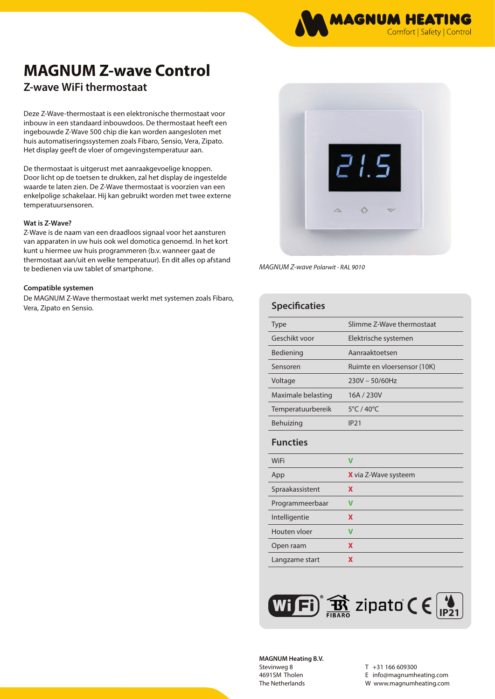# **MAGNUM Z-wave Control**

## **Z-wave WiFi thermostaat**

Deze Z-Wave-thermostaat is een elektronische thermostaat voor inbouw in een standaard inbouwdoos. De thermostaat heeft een ingebouwde Z-Wave 500 chip die kan worden aangesloten met huis automatiseringssystemen zoals Fibaro, Sensio, Vera, Zipato. Het display geeft de vloer of omgevingstemperatuur aan.

De thermostaat is uitgerust met aanraakgevoelige knoppen. Door licht op de toetsen te drukken, zal het display de ingestelde waarde te laten zien. De Z-Wave thermostaat is voorzien van een enkelpolige schakelaar. Hij kan gebruikt worden met twee externe temperatuursensoren.

### **Wat is Z-Wave?**

Z-Wave is de naam van een draadloos signaal voor het aansturen van apparaten in uw huis ook wel domotica genoemd. In het kort kunt u hiermee uw huis programmeren (b.v. wanneer gaat de thermostaat aan/uit en welke temperatuur). En dit alles op afstand te bedienen via uw tablet of smartphone.

### **Compatible systemen**

De MAGNUM Z-Wave thermostaat werkt met systemen zoals Fibaro, Vera, Zipato en Sensio.



*MAGNUM Z-wave Polarwit - RAL 9010*

| <b>Specificaties</b> |                                 |  |
|----------------------|---------------------------------|--|
| <b>Type</b>          | Slimme 7-Wave thermostaat       |  |
| Geschikt voor        | Elektrische systemen            |  |
| Bediening            | Aanraaktoetsen                  |  |
| Sensoren             | Ruimte en vloersensor (10K)     |  |
| Voltage              | $230V - 50/60Hz$                |  |
| Maximale belasting   | 16A / 230V                      |  |
| Temperatuurbereik    | $5^{\circ}$ C / 40 $^{\circ}$ C |  |
| Behuizing            | IP21                            |  |
| <b>Functies</b>      |                                 |  |
|                      |                                 |  |
| <b>WiFi</b>          | $\overline{\mathsf{v}}$         |  |
| App                  | X via Z-Wave systeem            |  |
| Spraakassistent      | X                               |  |
| Programmeerbaar      | V                               |  |
| Intelligentie        | X                               |  |
| Houten vloer         | V                               |  |
| Open raam            | X                               |  |



**MAGNUM Heating B.V.** Stevinweg 8 4691SM Tholen The Netherlands

T +31 166 609300 E info@magnumheating.com W www.magnumheating.com